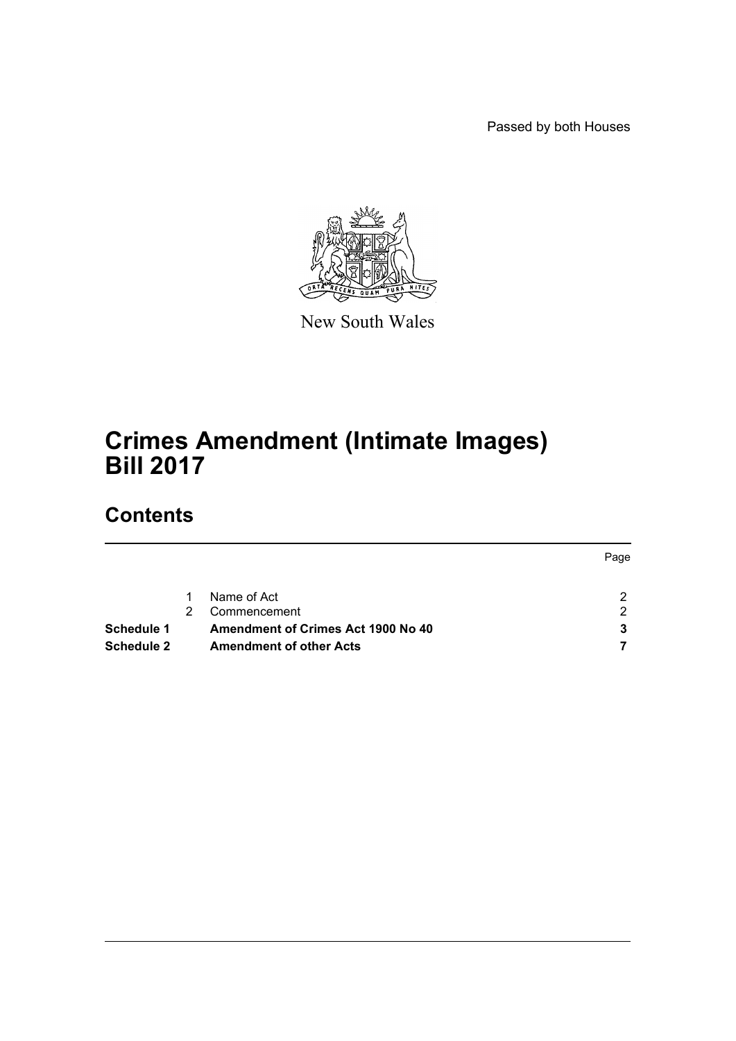Passed by both Houses



New South Wales

# **Crimes Amendment (Intimate Images) Bill 2017**

## **Contents**

|            |                                    | Page |
|------------|------------------------------------|------|
|            | Name of Act                        |      |
|            | Commencement                       | ົ    |
| Schedule 1 | Amendment of Crimes Act 1900 No 40 |      |
| Schedule 2 | <b>Amendment of other Acts</b>     |      |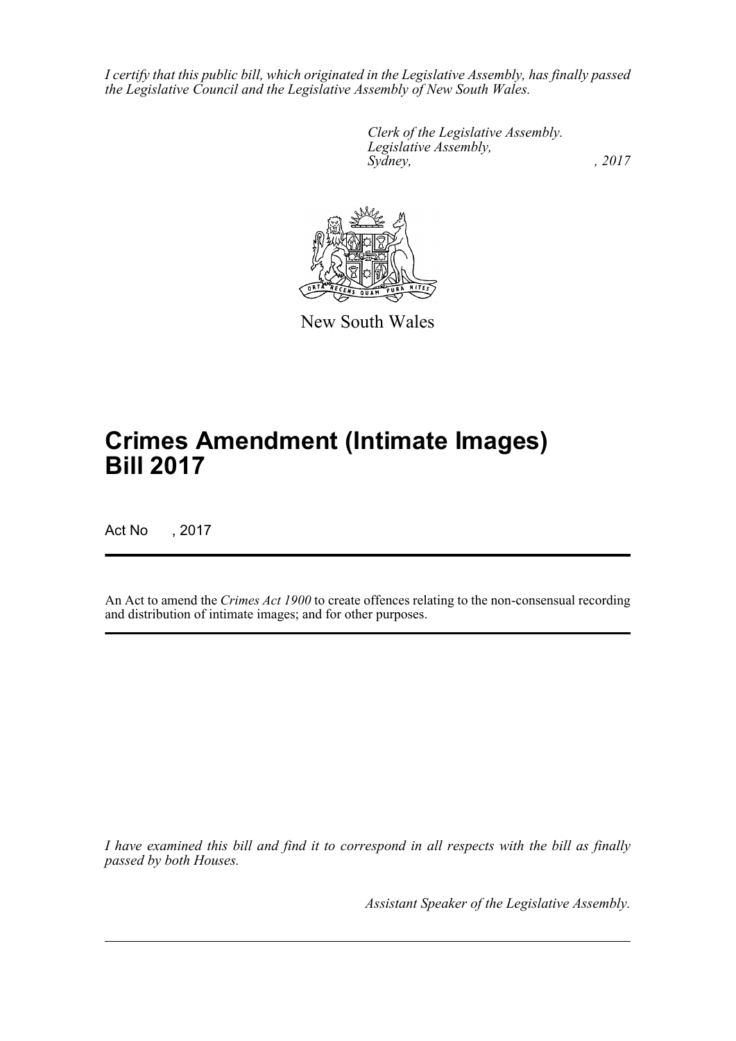*I certify that this public bill, which originated in the Legislative Assembly, has finally passed the Legislative Council and the Legislative Assembly of New South Wales.*

> *Clerk of the Legislative Assembly. Legislative Assembly, Sydney,* , 2017



New South Wales

# **Crimes Amendment (Intimate Images) Bill 2017**

Act No , 2017

An Act to amend the *Crimes Act 1900* to create offences relating to the non-consensual recording and distribution of intimate images; and for other purposes.

*I have examined this bill and find it to correspond in all respects with the bill as finally passed by both Houses.*

*Assistant Speaker of the Legislative Assembly.*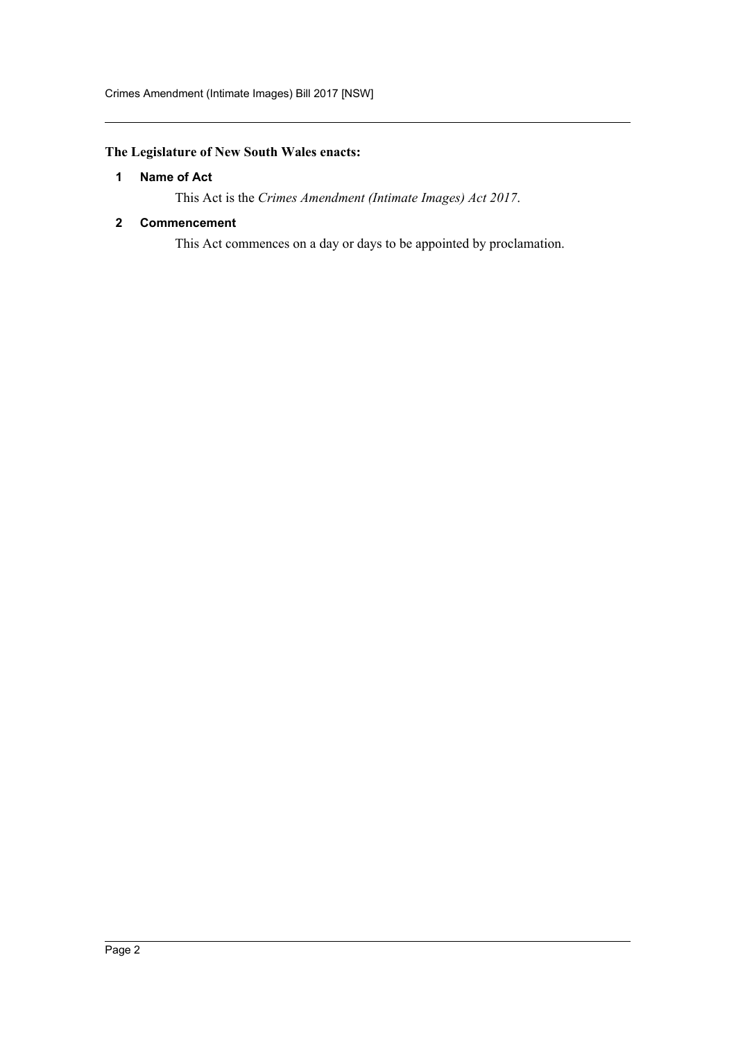## <span id="page-2-0"></span>**The Legislature of New South Wales enacts:**

#### **1 Name of Act**

This Act is the *Crimes Amendment (Intimate Images) Act 2017*.

#### <span id="page-2-1"></span>**2 Commencement**

This Act commences on a day or days to be appointed by proclamation.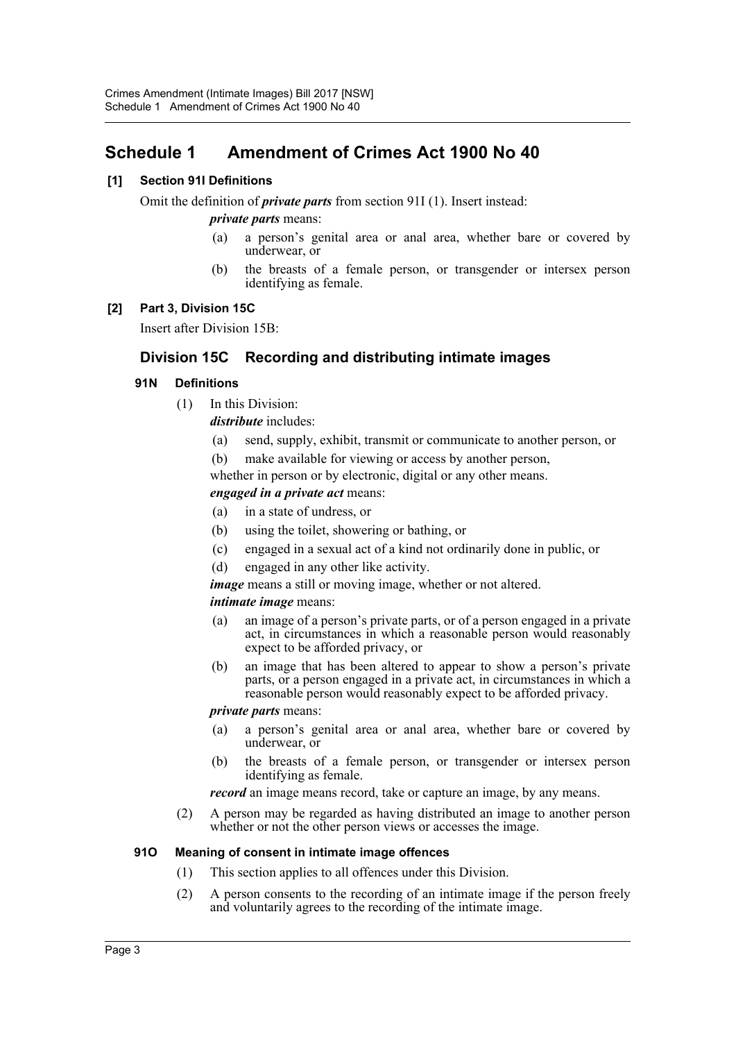## <span id="page-3-0"></span>**Schedule 1 Amendment of Crimes Act 1900 No 40**

#### **[1] Section 91I Definitions**

Omit the definition of *private parts* from section 91I (1). Insert instead:

#### *private parts* means:

- (a) a person's genital area or anal area, whether bare or covered by underwear, or
- (b) the breasts of a female person, or transgender or intersex person identifying as female.

#### **[2] Part 3, Division 15C**

Insert after Division 15B:

## **Division 15C Recording and distributing intimate images**

#### **91N Definitions**

(1) In this Division:

*distribute* includes:

- (a) send, supply, exhibit, transmit or communicate to another person, or
- (b) make available for viewing or access by another person,

whether in person or by electronic, digital or any other means.

#### *engaged in a private act* means:

- (a) in a state of undress, or
- (b) using the toilet, showering or bathing, or
- (c) engaged in a sexual act of a kind not ordinarily done in public, or
- (d) engaged in any other like activity.
- *image* means a still or moving image, whether or not altered.

#### *intimate image* means:

- (a) an image of a person's private parts, or of a person engaged in a private act, in circumstances in which a reasonable person would reasonably expect to be afforded privacy, or
- (b) an image that has been altered to appear to show a person's private parts, or a person engaged in a private act, in circumstances in which a reasonable person would reasonably expect to be afforded privacy.

#### *private parts* means:

- (a) a person's genital area or anal area, whether bare or covered by underwear, or
- (b) the breasts of a female person, or transgender or intersex person identifying as female.

*record* an image means record, take or capture an image, by any means.

(2) A person may be regarded as having distributed an image to another person whether or not the other person views or accesses the image.

#### **91O Meaning of consent in intimate image offences**

- (1) This section applies to all offences under this Division.
- (2) A person consents to the recording of an intimate image if the person freely and voluntarily agrees to the recording of the intimate image.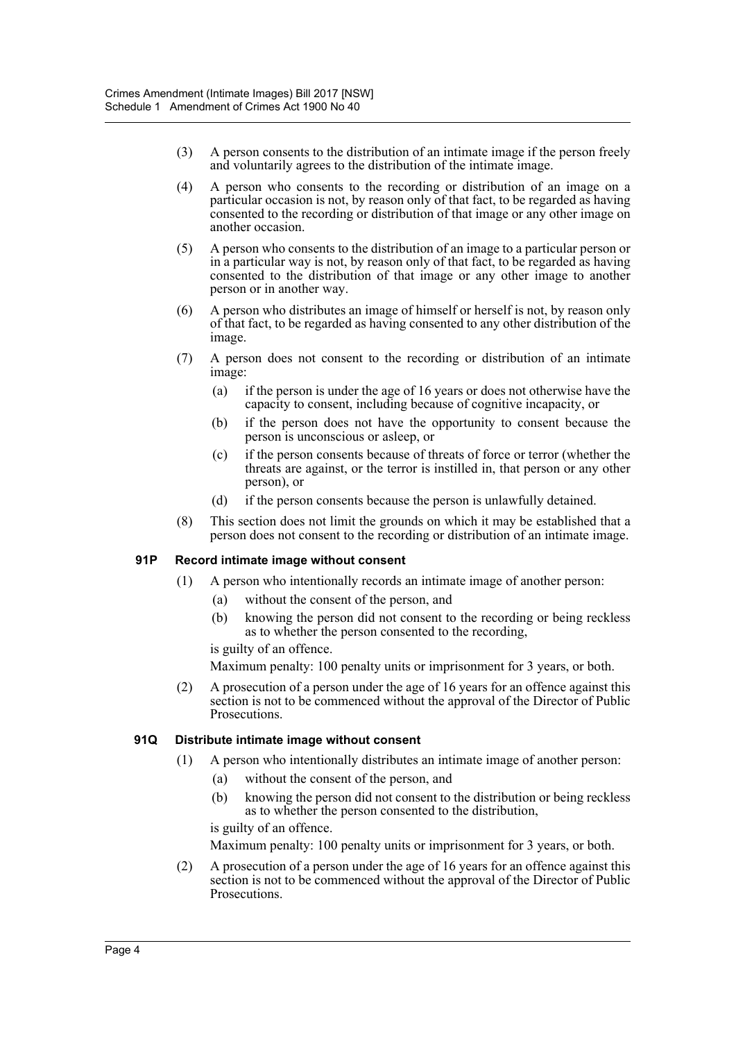- (3) A person consents to the distribution of an intimate image if the person freely and voluntarily agrees to the distribution of the intimate image.
- (4) A person who consents to the recording or distribution of an image on a particular occasion is not, by reason only of that fact, to be regarded as having consented to the recording or distribution of that image or any other image on another occasion.
- (5) A person who consents to the distribution of an image to a particular person or in a particular way is not, by reason only of that fact, to be regarded as having consented to the distribution of that image or any other image to another person or in another way.
- (6) A person who distributes an image of himself or herself is not, by reason only of that fact, to be regarded as having consented to any other distribution of the image.
- (7) A person does not consent to the recording or distribution of an intimate image:
	- (a) if the person is under the age of 16 years or does not otherwise have the capacity to consent, including because of cognitive incapacity, or
	- (b) if the person does not have the opportunity to consent because the person is unconscious or asleep, or
	- (c) if the person consents because of threats of force or terror (whether the threats are against, or the terror is instilled in, that person or any other person), or
	- (d) if the person consents because the person is unlawfully detained.
- (8) This section does not limit the grounds on which it may be established that a person does not consent to the recording or distribution of an intimate image.

#### **91P Record intimate image without consent**

- (1) A person who intentionally records an intimate image of another person:
	- (a) without the consent of the person, and
	- (b) knowing the person did not consent to the recording or being reckless as to whether the person consented to the recording,

is guilty of an offence.

Maximum penalty: 100 penalty units or imprisonment for 3 years, or both.

(2) A prosecution of a person under the age of 16 years for an offence against this section is not to be commenced without the approval of the Director of Public Prosecutions.

#### **91Q Distribute intimate image without consent**

- (1) A person who intentionally distributes an intimate image of another person:
	- (a) without the consent of the person, and
	- (b) knowing the person did not consent to the distribution or being reckless as to whether the person consented to the distribution,

is guilty of an offence.

Maximum penalty: 100 penalty units or imprisonment for 3 years, or both.

(2) A prosecution of a person under the age of 16 years for an offence against this section is not to be commenced without the approval of the Director of Public Prosecutions.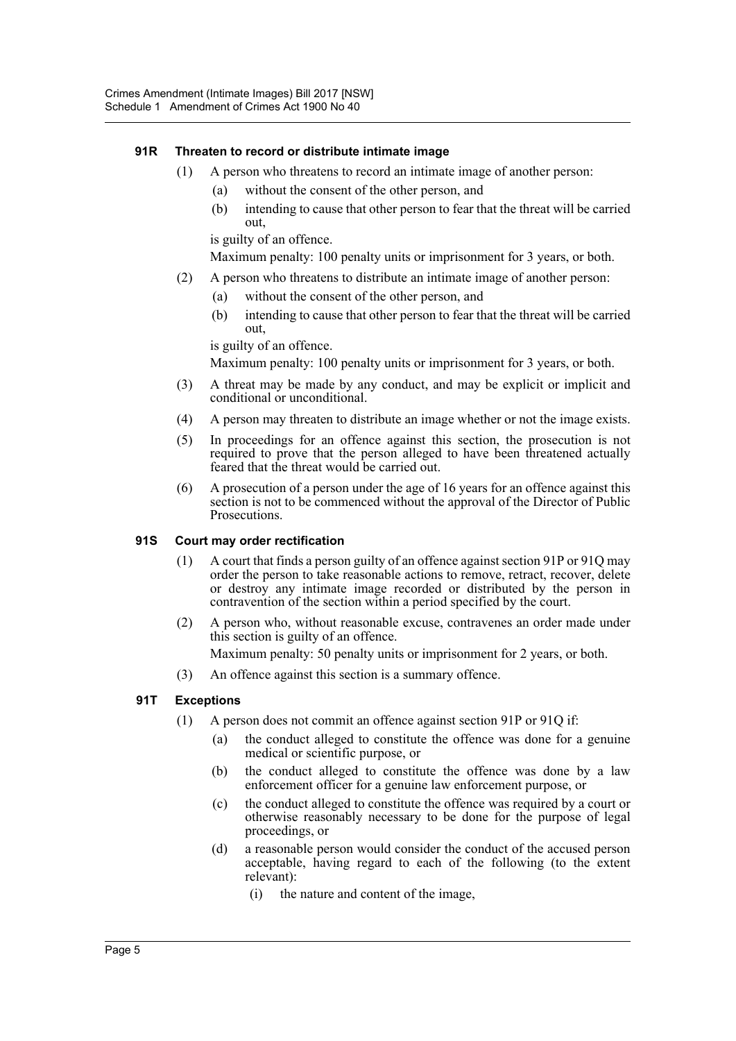#### **91R Threaten to record or distribute intimate image**

- (1) A person who threatens to record an intimate image of another person:
	- (a) without the consent of the other person, and
	- (b) intending to cause that other person to fear that the threat will be carried out,

is guilty of an offence.

Maximum penalty: 100 penalty units or imprisonment for 3 years, or both.

- (2) A person who threatens to distribute an intimate image of another person:
	- (a) without the consent of the other person, and
	- (b) intending to cause that other person to fear that the threat will be carried out,

is guilty of an offence.

Maximum penalty: 100 penalty units or imprisonment for 3 years, or both.

- (3) A threat may be made by any conduct, and may be explicit or implicit and conditional or unconditional.
- (4) A person may threaten to distribute an image whether or not the image exists.
- (5) In proceedings for an offence against this section, the prosecution is not required to prove that the person alleged to have been threatened actually feared that the threat would be carried out.
- (6) A prosecution of a person under the age of 16 years for an offence against this section is not to be commenced without the approval of the Director of Public Prosecutions.

#### **91S Court may order rectification**

- (1) A court that finds a person guilty of an offence against section 91P or 91Q may order the person to take reasonable actions to remove, retract, recover, delete or destroy any intimate image recorded or distributed by the person in contravention of the section within a period specified by the court.
- (2) A person who, without reasonable excuse, contravenes an order made under this section is guilty of an offence. Maximum penalty: 50 penalty units or imprisonment for 2 years, or both.
- (3) An offence against this section is a summary offence.

#### **91T Exceptions**

- (1) A person does not commit an offence against section 91P or 91Q if:
	- (a) the conduct alleged to constitute the offence was done for a genuine medical or scientific purpose, or
	- (b) the conduct alleged to constitute the offence was done by a law enforcement officer for a genuine law enforcement purpose, or
	- (c) the conduct alleged to constitute the offence was required by a court or otherwise reasonably necessary to be done for the purpose of legal proceedings, or
	- (d) a reasonable person would consider the conduct of the accused person acceptable, having regard to each of the following (to the extent relevant):
		- (i) the nature and content of the image,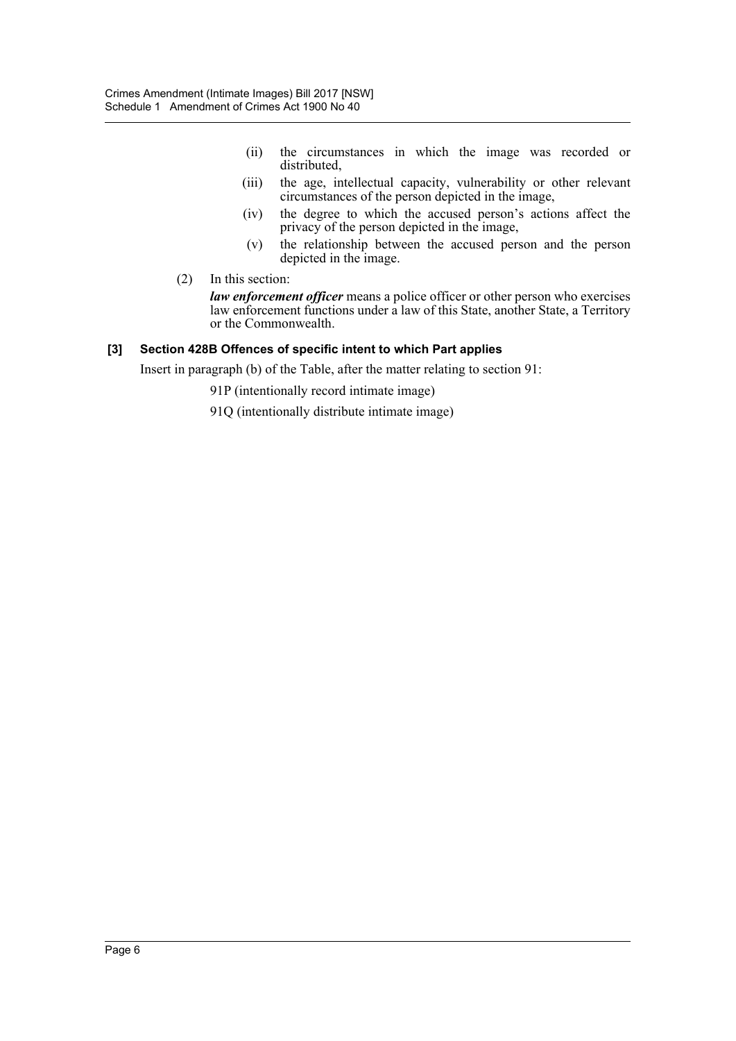- (ii) the circumstances in which the image was recorded or distributed,
- (iii) the age, intellectual capacity, vulnerability or other relevant circumstances of the person depicted in the image,
- (iv) the degree to which the accused person's actions affect the privacy of the person depicted in the image,
- (v) the relationship between the accused person and the person depicted in the image.
- (2) In this section:

*law enforcement officer* means a police officer or other person who exercises law enforcement functions under a law of this State, another State, a Territory or the Commonwealth.

#### **[3] Section 428B Offences of specific intent to which Part applies**

Insert in paragraph (b) of the Table, after the matter relating to section 91:

91P (intentionally record intimate image)

91Q (intentionally distribute intimate image)